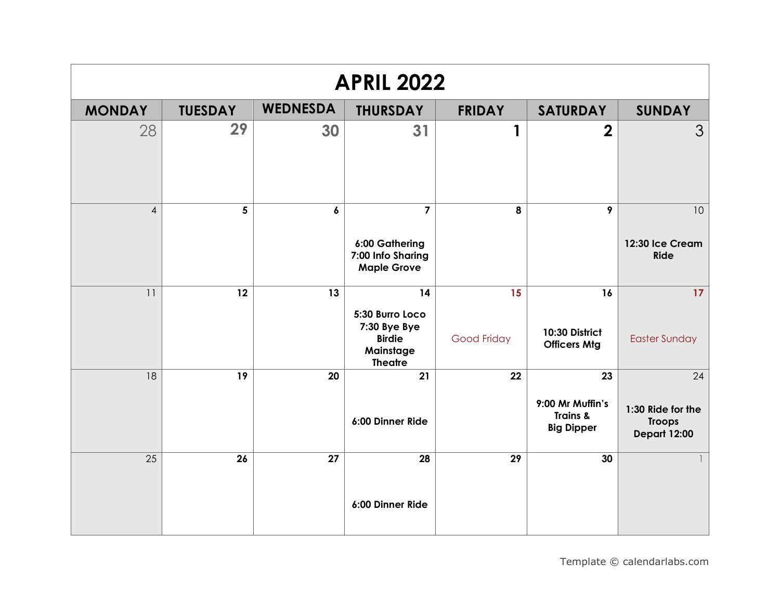| <b>APRIL 2022</b> |                |                 |                                                                                       |                          |                                                         |                                                                 |  |  |
|-------------------|----------------|-----------------|---------------------------------------------------------------------------------------|--------------------------|---------------------------------------------------------|-----------------------------------------------------------------|--|--|
| <b>MONDAY</b>     | <b>TUESDAY</b> | <b>WEDNESDA</b> | <b>THURSDAY</b>                                                                       | <b>FRIDAY</b>            | <b>SATURDAY</b>                                         | <b>SUNDAY</b>                                                   |  |  |
| 28                | 29             | 30              | 31                                                                                    | 1                        | $\overline{2}$                                          | 3                                                               |  |  |
| $\overline{4}$    | 5              | 6               | $\overline{7}$<br>6:00 Gathering<br>7:00 Info Sharing<br><b>Maple Grove</b>           | 8                        | 9                                                       | 10<br>12:30 Ice Cream<br><b>Ride</b>                            |  |  |
| 11                | 12             | 13              | 14<br>5:30 Burro Loco<br>7:30 Bye Bye<br><b>Birdie</b><br>Mainstage<br><b>Theatre</b> | 15<br><b>Good Friday</b> | 16<br>10:30 District<br><b>Officers Mtg</b>             | 17<br><b>Easter Sunday</b>                                      |  |  |
| 18                | 19             | 20              | $\overline{21}$<br>6:00 Dinner Ride                                                   | 22                       | 23<br>9:00 Mr Muffin's<br>Trains &<br><b>Big Dipper</b> | 24<br>1:30 Ride for the<br><b>Troops</b><br><b>Depart 12:00</b> |  |  |
| 25                | 26             | 27              | 28<br>6:00 Dinner Ride                                                                | 29                       | 30                                                      |                                                                 |  |  |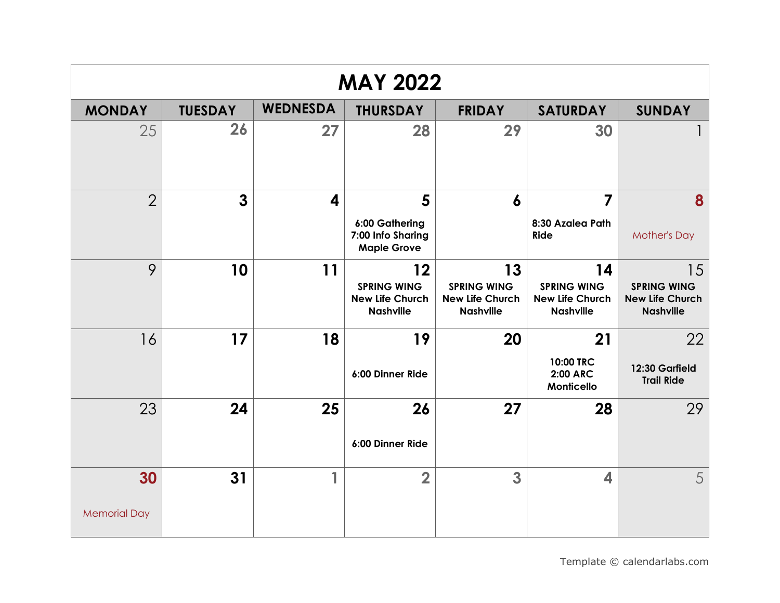| <b>MAY 2022</b>           |                |                 |                                                                 |                                                                        |                                                                        |                                                                        |  |  |  |
|---------------------------|----------------|-----------------|-----------------------------------------------------------------|------------------------------------------------------------------------|------------------------------------------------------------------------|------------------------------------------------------------------------|--|--|--|
| <b>MONDAY</b>             | <b>TUESDAY</b> | <b>WEDNESDA</b> | <b>THURSDAY</b>                                                 | <b>FRIDAY</b>                                                          | <b>SATURDAY</b>                                                        | <b>SUNDAY</b>                                                          |  |  |  |
| 25                        | 26             | 27              | 28                                                              | 29                                                                     | 30                                                                     |                                                                        |  |  |  |
| $\overline{2}$            | $\mathbf{3}$   | 4               | 5<br>6:00 Gathering<br>7:00 Info Sharing<br><b>Maple Grove</b>  | $\boldsymbol{6}$                                                       | $\overline{7}$<br>8:30 Azalea Path<br>Ride                             | 8<br><b>Mother's Day</b>                                               |  |  |  |
| 9                         | 10             | 11              | 12<br><b>SPRING WING</b><br>New Life Church<br><b>Nashville</b> | 13<br><b>SPRING WING</b><br><b>New Life Church</b><br><b>Nashville</b> | 14<br><b>SPRING WING</b><br><b>New Life Church</b><br><b>Nashville</b> | 15<br><b>SPRING WING</b><br><b>New Life Church</b><br><b>Nashville</b> |  |  |  |
| 16                        | 17             | 18              | 19<br>6:00 Dinner Ride                                          | 20                                                                     | 21<br>10:00 TRC<br><b>2:00 ARC</b><br>Monticello                       | 22<br>12:30 Garfield<br><b>Trail Ride</b>                              |  |  |  |
| 23                        | 24             | 25              | 26<br>6:00 Dinner Ride                                          | 27                                                                     | 28                                                                     | 29                                                                     |  |  |  |
| 30<br><b>Memorial Day</b> | 31             | 1               | $\overline{2}$                                                  | 3                                                                      | 4                                                                      | 5                                                                      |  |  |  |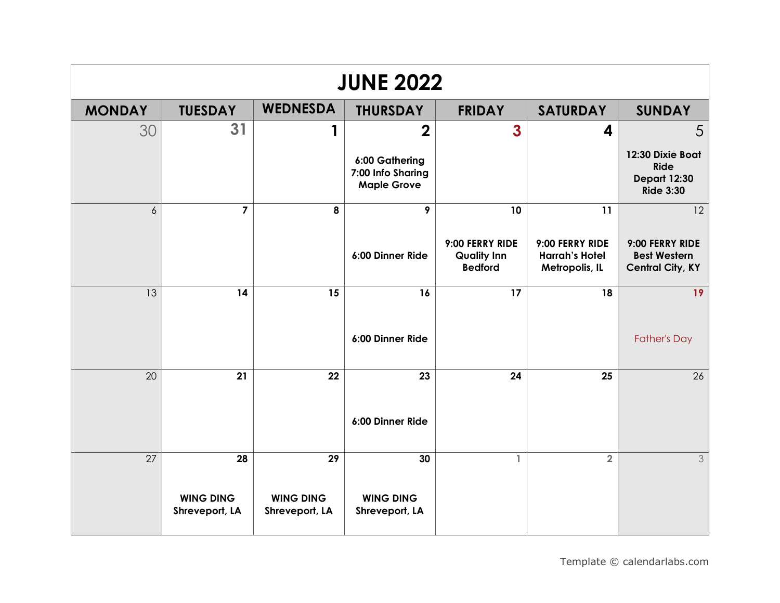| <b>JUNE 2022</b> |                                    |                                    |                                                           |                                                         |                                                            |                                                                     |  |  |
|------------------|------------------------------------|------------------------------------|-----------------------------------------------------------|---------------------------------------------------------|------------------------------------------------------------|---------------------------------------------------------------------|--|--|
| <b>MONDAY</b>    | <b>TUESDAY</b>                     | <b>WEDNESDA</b>                    | <b>THURSDAY</b>                                           | <b>FRIDAY</b>                                           | <b>SATURDAY</b>                                            | <b>SUNDAY</b>                                                       |  |  |
| 30               | 31                                 |                                    | $\overline{2}$                                            | 3                                                       | 4                                                          | 5                                                                   |  |  |
|                  |                                    |                                    | 6:00 Gathering<br>7:00 Info Sharing<br><b>Maple Grove</b> |                                                         |                                                            | 12:30 Dixie Boat<br>Ride<br><b>Depart 12:30</b><br><b>Ride 3:30</b> |  |  |
| $\delta$         | $\overline{\mathbf{z}}$            | 8                                  | 9                                                         | 10                                                      | 11                                                         | 12                                                                  |  |  |
|                  |                                    |                                    | 6:00 Dinner Ride                                          | 9:00 FERRY RIDE<br><b>Quality Inn</b><br><b>Bedford</b> | 9:00 FERRY RIDE<br><b>Harrah's Hotel</b><br>Metropolis, IL | 9:00 FERRY RIDE<br><b>Best Western</b><br><b>Central City, KY</b>   |  |  |
| 13               | 14                                 | 15                                 | 16                                                        | 17                                                      | 18                                                         | 19                                                                  |  |  |
|                  |                                    |                                    | 6:00 Dinner Ride                                          |                                                         |                                                            | <b>Father's Day</b>                                                 |  |  |
| 20               | 21                                 | 22                                 | 23                                                        | 24                                                      | 25                                                         | 26                                                                  |  |  |
|                  |                                    |                                    | 6:00 Dinner Ride                                          |                                                         |                                                            |                                                                     |  |  |
| 27               | 28                                 | 29                                 | 30                                                        | $\mathbf{1}$                                            | $\overline{2}$                                             | 3                                                                   |  |  |
|                  | <b>WING DING</b><br>Shreveport, LA | <b>WING DING</b><br>Shreveport, LA | <b>WING DING</b><br>Shreveport, LA                        |                                                         |                                                            |                                                                     |  |  |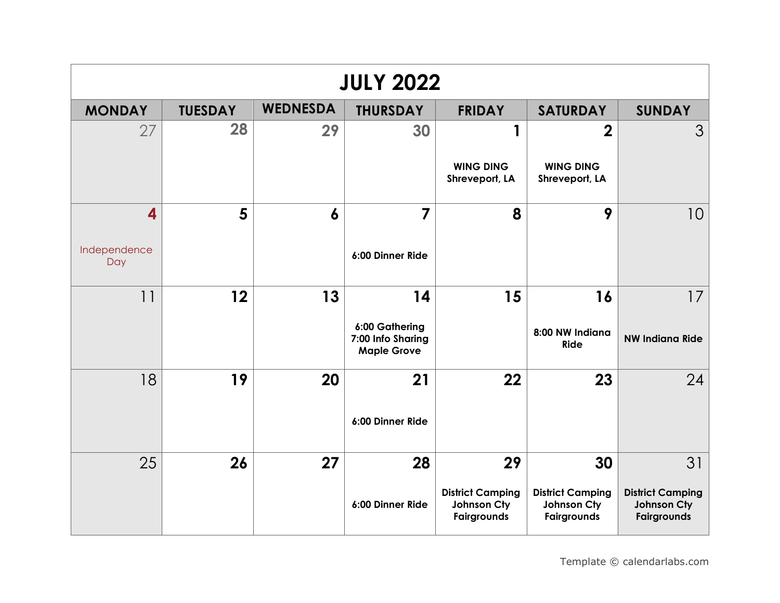| <b>JULY 2022</b>                               |                |                  |                                                                 |                                                             |                                                             |                                                             |  |  |  |
|------------------------------------------------|----------------|------------------|-----------------------------------------------------------------|-------------------------------------------------------------|-------------------------------------------------------------|-------------------------------------------------------------|--|--|--|
| <b>MONDAY</b>                                  | <b>TUESDAY</b> | <b>WEDNESDA</b>  | <b>THURSDAY</b>                                                 | <b>FRIDAY</b>                                               | <b>SATURDAY</b>                                             | <b>SUNDAY</b>                                               |  |  |  |
| 27                                             | 28             | 29               | 30                                                              | 1<br><b>WING DING</b><br>Shreveport, LA                     | $\overline{2}$<br><b>WING DING</b><br>Shreveport, LA        | 3                                                           |  |  |  |
| $\overline{\mathbf{4}}$<br>Independence<br>Day | 5              | $\boldsymbol{6}$ | 7<br>6:00 Dinner Ride                                           | 8                                                           | 9                                                           | 10                                                          |  |  |  |
| 11                                             | 12             | 13               | 14<br>6:00 Gathering<br>7:00 Info Sharing<br><b>Maple Grove</b> | 15                                                          | 16<br>8:00 NW Indiana<br>Ride                               | 17<br><b>NW Indiana Ride</b>                                |  |  |  |
| 18                                             | 19             | 20               | 21<br>6:00 Dinner Ride                                          | 22                                                          | 23                                                          | 24                                                          |  |  |  |
| 25                                             | 26             | 27               | 28<br>6:00 Dinner Ride                                          | 29<br><b>District Camping</b><br>Johnson Cty<br>Fairgrounds | 30<br><b>District Camping</b><br>Johnson Cty<br>Fairgrounds | 31<br><b>District Camping</b><br>Johnson Cty<br>Fairgrounds |  |  |  |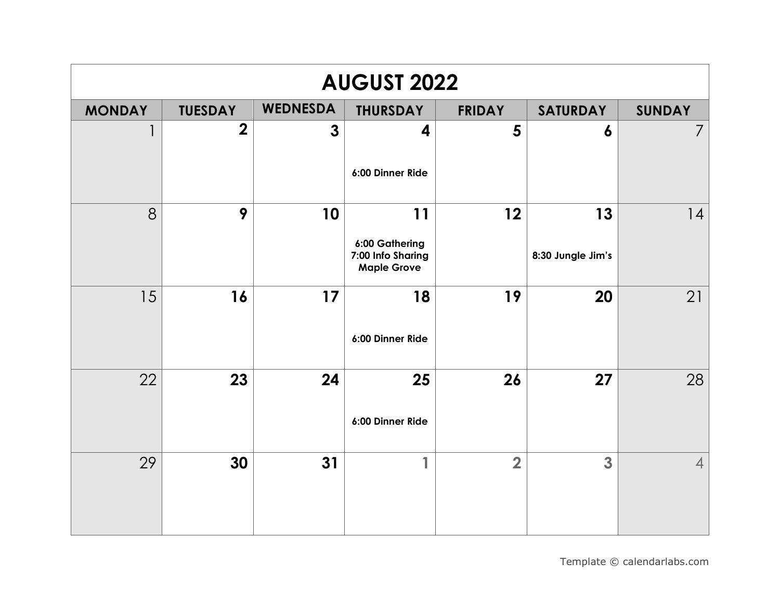| <b>AUGUST 2022</b> |                |                 |                                                                 |                |                         |                |  |  |  |
|--------------------|----------------|-----------------|-----------------------------------------------------------------|----------------|-------------------------|----------------|--|--|--|
| <b>MONDAY</b>      | <b>TUESDAY</b> | <b>WEDNESDA</b> | <b>THURSDAY</b>                                                 | <b>FRIDAY</b>  | <b>SATURDAY</b>         | <b>SUNDAY</b>  |  |  |  |
|                    | $\overline{2}$ | $\mathbf{3}$    | 4<br>6:00 Dinner Ride                                           | 5              | 6                       | $\overline{7}$ |  |  |  |
| 8                  | 9              | 10              | 11<br>6:00 Gathering<br>7:00 Info Sharing<br><b>Maple Grove</b> | 12             | 13<br>8:30 Jungle Jim's | 14             |  |  |  |
| 15                 | 16             | 17              | 18<br>6:00 Dinner Ride                                          | 19             | 20                      | 21             |  |  |  |
| 22                 | 23             | 24              | 25<br>6:00 Dinner Ride                                          | 26             | 27                      | 28             |  |  |  |
| 29                 | 30             | 31              | 1                                                               | $\overline{2}$ | 3                       | $\overline{4}$ |  |  |  |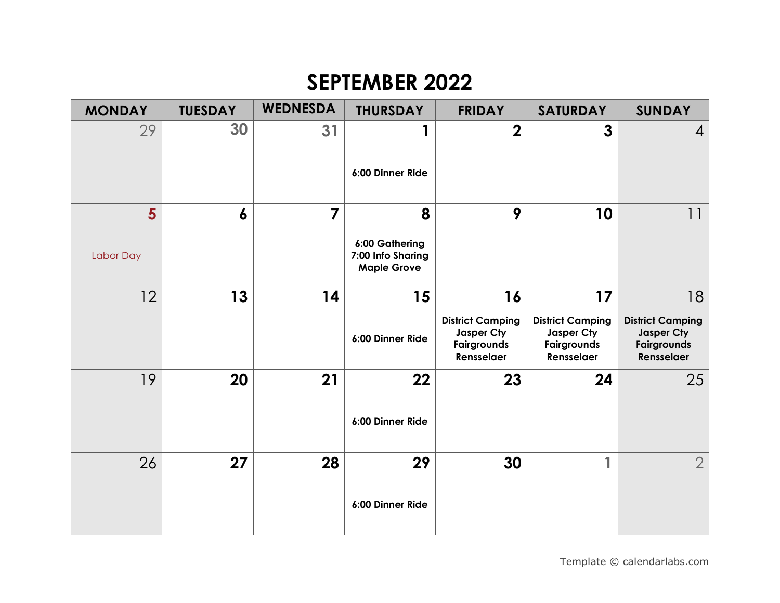| <b>SEPTEMBER 2022</b> |                  |                 |                                                                |                                                                          |                                                                                 |                                                                                 |  |  |  |
|-----------------------|------------------|-----------------|----------------------------------------------------------------|--------------------------------------------------------------------------|---------------------------------------------------------------------------------|---------------------------------------------------------------------------------|--|--|--|
| <b>MONDAY</b>         | <b>TUESDAY</b>   | <b>WEDNESDA</b> | <b>THURSDAY</b>                                                | <b>FRIDAY</b>                                                            | <b>SATURDAY</b>                                                                 | <b>SUNDAY</b>                                                                   |  |  |  |
| 29                    | 30               | 31              | 6:00 Dinner Ride                                               | $\overline{2}$                                                           | 3                                                                               | $\overline{4}$                                                                  |  |  |  |
| 5<br>Labor Day        | $\boldsymbol{6}$ | $\overline{7}$  | 8<br>6:00 Gathering<br>7:00 Info Sharing<br><b>Maple Grove</b> | 9                                                                        | 10                                                                              | $  \cdot  $                                                                     |  |  |  |
| 12                    | 13               | 14              | 15<br>6:00 Dinner Ride                                         | 16<br><b>District Camping</b><br>Jasper Cty<br>Fairgrounds<br>Rensselaer | 17<br><b>District Camping</b><br>Jasper Cty<br><b>Fairgrounds</b><br>Rensselaer | 18<br><b>District Camping</b><br>Jasper Cty<br><b>Fairgrounds</b><br>Rensselaer |  |  |  |
| 19                    | 20               | 21              | 22<br>6:00 Dinner Ride                                         | 23                                                                       | 24                                                                              | 25                                                                              |  |  |  |
| 26                    | 27               | 28              | 29<br>6:00 Dinner Ride                                         | 30                                                                       | 1                                                                               | $\overline{2}$                                                                  |  |  |  |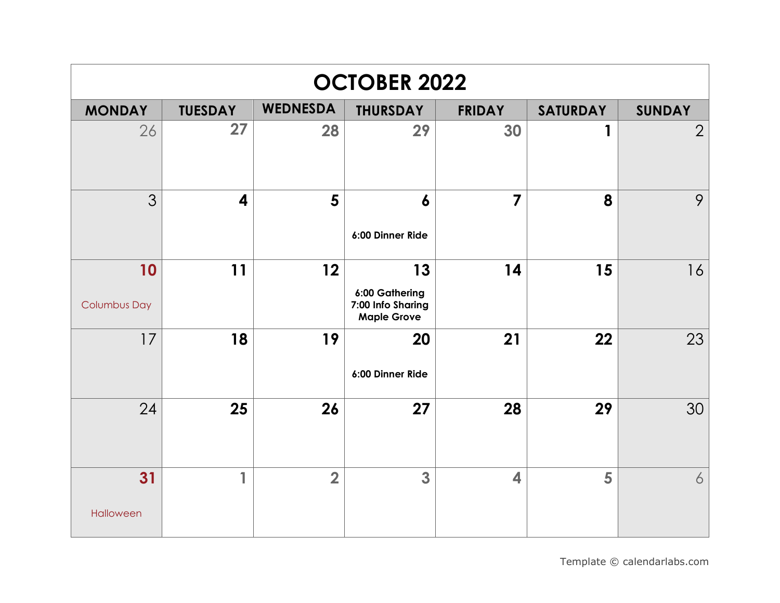| <b>OCTOBER 2022</b>       |                |                 |                                                                 |                |                 |                |  |  |
|---------------------------|----------------|-----------------|-----------------------------------------------------------------|----------------|-----------------|----------------|--|--|
| <b>MONDAY</b>             | <b>TUESDAY</b> | <b>WEDNESDA</b> | <b>THURSDAY</b>                                                 | <b>FRIDAY</b>  | <b>SATURDAY</b> | <b>SUNDAY</b>  |  |  |
| 26                        | 27             | 28              | 29                                                              | 30             | 1               | $\overline{2}$ |  |  |
| 3                         | 4              | 5               | 6<br>6:00 Dinner Ride                                           | $\overline{7}$ | 8               | 9              |  |  |
| 10<br><b>Columbus Day</b> | 11             | 12              | 13<br>6:00 Gathering<br>7:00 Info Sharing<br><b>Maple Grove</b> | 14             | 15              | 16             |  |  |
| 17                        | 18             | 19              | 20<br>6:00 Dinner Ride                                          | 21             | 22              | 23             |  |  |
| 24                        | 25             | 26              | 27                                                              | 28             | 29              | 30             |  |  |
| 31<br>Halloween           | 1              | $\overline{2}$  | 3                                                               | 4              | 5               | 6              |  |  |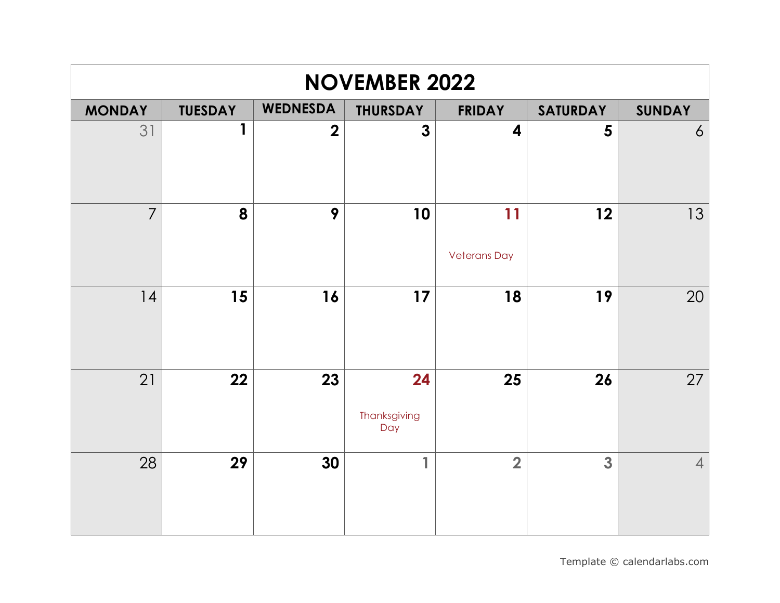| <b>NOVEMBER 2022</b> |                |                 |                           |                           |                 |                |  |  |
|----------------------|----------------|-----------------|---------------------------|---------------------------|-----------------|----------------|--|--|
| <b>MONDAY</b>        | <b>TUESDAY</b> | <b>WEDNESDA</b> | <b>THURSDAY</b>           | <b>FRIDAY</b>             | <b>SATURDAY</b> | <b>SUNDAY</b>  |  |  |
| 31                   | 1              | $\overline{2}$  | $\overline{3}$            | $\overline{\mathbf{4}}$   | 5               | $\overline{6}$ |  |  |
| $\overline{7}$       | 8              | 9               | 10                        | 11<br><b>Veterans Day</b> | 12              | 13             |  |  |
| 14                   | 15             | 16              | 17                        | 18                        | 19              | 20             |  |  |
| 21                   | 22             | 23              | 24<br>Thanksgiving<br>Day | 25                        | 26              | 27             |  |  |
| 28                   | 29             | 30              | 1                         | $\overline{2}$            | 3               | $\overline{4}$ |  |  |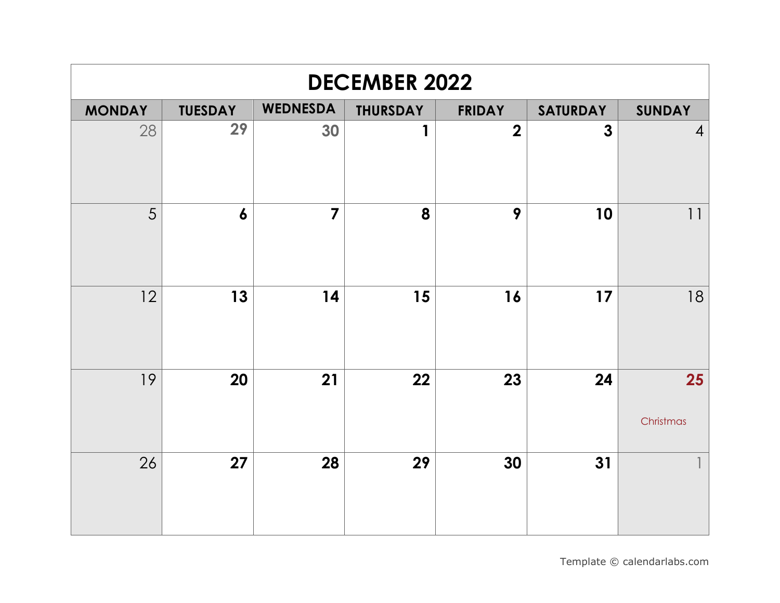| <b>DECEMBER 2022</b> |                  |                 |                 |                         |                 |                 |  |  |
|----------------------|------------------|-----------------|-----------------|-------------------------|-----------------|-----------------|--|--|
| <b>MONDAY</b>        | <b>TUESDAY</b>   | <b>WEDNESDA</b> | <b>THURSDAY</b> | <b>FRIDAY</b>           | <b>SATURDAY</b> | <b>SUNDAY</b>   |  |  |
| 28                   | 29               | 30              | 1               | $\overline{\mathbf{2}}$ | $\mathbf{3}$    | $\overline{4}$  |  |  |
| 5                    | $\boldsymbol{6}$ | $\overline{7}$  | 8               | 9                       | 10              | 11              |  |  |
| 12                   | 13               | 14              | 15              | 16                      | 17              | 18              |  |  |
| 19                   | 20               | 21              | 22              | 23                      | 24              | 25<br>Christmas |  |  |
| 26                   | 27               | 28              | 29              | 30                      | 31              |                 |  |  |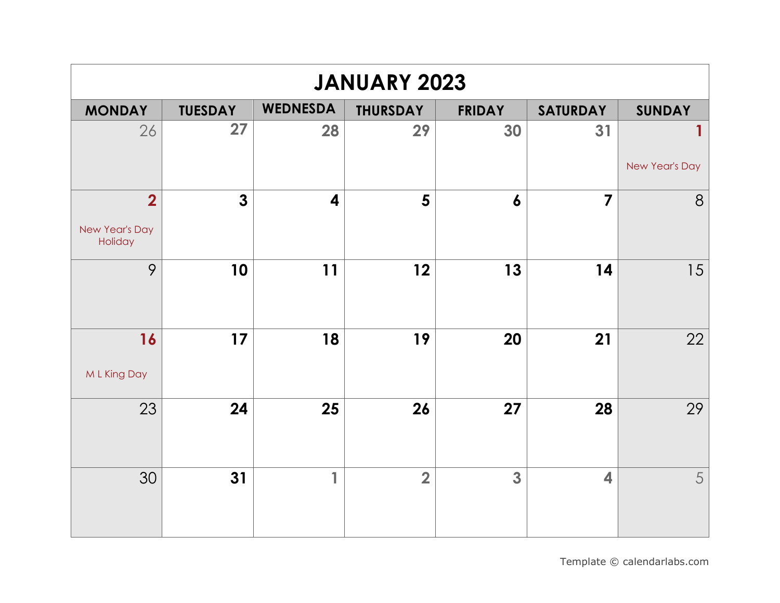| <b>JANUARY 2023</b>       |                |                         |                 |                  |                         |                |  |  |
|---------------------------|----------------|-------------------------|-----------------|------------------|-------------------------|----------------|--|--|
| <b>MONDAY</b>             | <b>TUESDAY</b> | <b>WEDNESDA</b>         | <b>THURSDAY</b> | <b>FRIDAY</b>    | <b>SATURDAY</b>         | <b>SUNDAY</b>  |  |  |
| 26                        | 27             | 28                      | 29              | 30               | 31                      | New Year's Day |  |  |
|                           |                |                         |                 |                  |                         |                |  |  |
| $\overline{2}$            | $\mathbf{3}$   | $\overline{\mathbf{4}}$ | 5               | $\boldsymbol{6}$ | $\overline{7}$          | 8              |  |  |
| New Year's Day<br>Holiday |                |                         |                 |                  |                         |                |  |  |
| 9                         | 10             | 11                      | 12              | 13               | 14                      | 15             |  |  |
| 16<br>M L King Day        | 17             | 18                      | 19              | 20               | 21                      | 22             |  |  |
| 23                        | 24             | 25                      | 26              | 27               | 28                      | 29             |  |  |
| 30                        | 31             | 1                       | $\overline{2}$  | 3                | $\overline{\mathbf{4}}$ | 5              |  |  |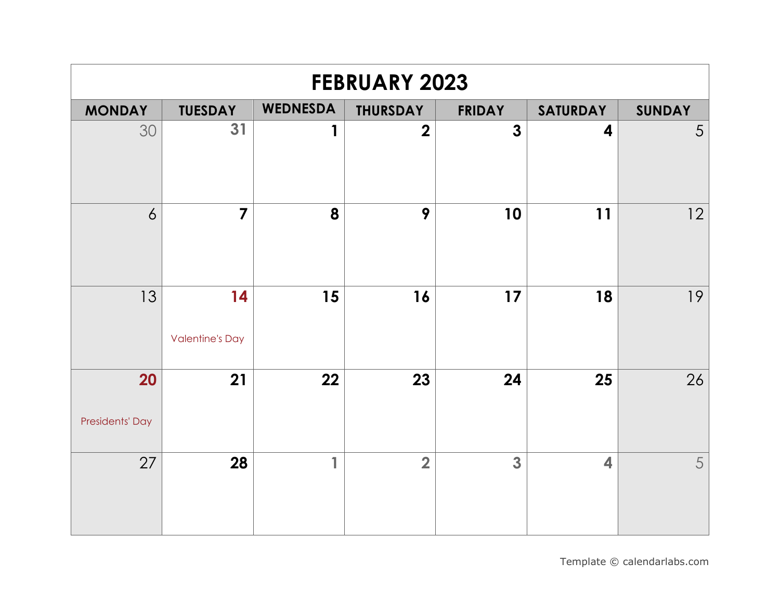| <b>FEBRUARY 2023</b>  |                              |                         |                 |               |                         |               |  |  |  |
|-----------------------|------------------------------|-------------------------|-----------------|---------------|-------------------------|---------------|--|--|--|
| <b>MONDAY</b>         | <b>TUESDAY</b>               | <b>WEDNESDA</b>         | <b>THURSDAY</b> | <b>FRIDAY</b> | <b>SATURDAY</b>         | <b>SUNDAY</b> |  |  |  |
| 30                    | 31                           | 1                       | $\overline{2}$  | 3             | 4                       | 5             |  |  |  |
| $\overline{6}$        | $\overline{7}$               | 8                       | 9               | 10            | 11                      | 12            |  |  |  |
| 13                    | 14<br><b>Valentine's Day</b> | 15                      | 16              | 17            | 18                      | 19            |  |  |  |
| 20<br>Presidents' Day | 21                           | 22                      | 23              | 24            | 25                      | 26            |  |  |  |
| 27                    | 28                           | $\overline{\mathbf{1}}$ | $\overline{2}$  | 3             | $\overline{\mathbf{4}}$ | 5             |  |  |  |